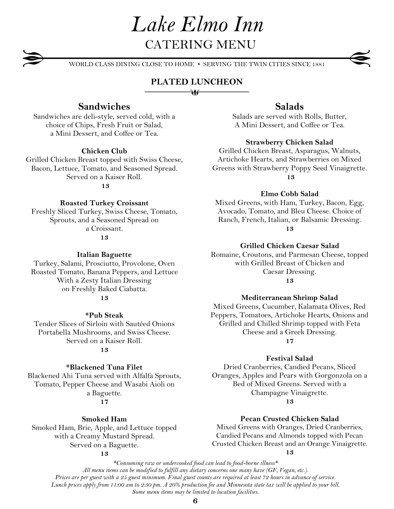WORLD CLASS DINING CLOSE TO HOME • SERVING THE TWIN CITIES SINCE 1881

# **PLATED LUNCHEON** ₩

# **Sandwiches**

Sandwiches are deli-style, served cold, with a choice of Chips, Fresh Fruit or Salad, a Mini Dessert, and Coffee or Tea.

#### **Chicken Club**

Grilled Chicken Breast topped with Swiss Cheese, Bacon, Lettuce, Tomato, and Seasoned Spread. Served on a Kaiser Roll. **13**

#### **Roasted Turkey Croissant**

Freshly Sliced Turkey, Swiss Cheese, Tomato, Sprouts, and a Seasoned Spread on a Croissant.

**13**

#### **Italian Baguette**

Turkey, Salami, Prosciutto, Provolone, Oven Roasted Tomato, Banana Peppers, and Lettuce With a Zesty Italian Dressing on Freshly Baked Ciabatta. **13**

#### **\*Pub Steak**

Tender Slices of Sirloin with Sautéed Onions Portabella Mushrooms, and Swiss Cheese. Served on a Kaiser Roll.

#### **13**

#### **\*Blackened Tuna Filet**

Blackened Ahi Tuna served with Alfalfa Sprouts, Tomato, Pepper Cheese and Wasabi Aioli on a Baguette. **17**

#### **Smoked Ham**

Smoked Ham, Brie, Apple, and Lettuce topped with a Creamy Mustard Spread. Served on a Baguette.

#### **13**

# **Salads**

Salads are served with Rolls, Butter, A Mini Dessert, and Coffee or Tea.

#### **Strawberry Chicken Salad**

Grilled Chicken Breast, Asparagus, Walnuts, Artichoke Hearts, and Strawberries on Mixed Greens with Strawberry Poppy Seed Vinaigrette. **13**

**Elmo Cobb Salad**

Mixed Greens, with Ham, Turkey, Bacon, Egg, Avocado, Tomato, and Bleu Cheese. Choice of Ranch, French, Italian, or Balsamic Dressing. **13**

**Grilled Chicken Caesar Salad**

Romaine, Croutons, and Parmesan Cheese, topped with Grilled Breast of Chicken and Caesar Dressing. **13**

#### **Mediterranean Shrimp Salad**

Mixed Greens, Cucumber, Kalamata Olives, Red Peppers, Tomatoes, Artichoke Hearts, Onions and Grilled and Chilled Shrimp topped with Feta Cheese and a Greek Dressing. **17**

#### **Festival Salad**

Dried Cranberries, Candied Pecans, Sliced Oranges, Apples and Pears with Gorgonzola on a Bed of Mixed Greens. Served with a Champagne Vinaigrette.

**13**

#### **Pecan Crusted Chicken Salad**

Mixed Greens with Oranges, Dried Cranberries, Candied Pecans and Almonds topped with Pecan Crusted Chicken Breast and an Orange Vinaigrette. **13**

. *All menu items can be modified to fulfill any dietary concerns one many have (GF, Vegan, etc.). \*Consuming raw or undercooked food can lead to food-borne illness\* Prices are per guest with a 25 guest minimum. Final guest counts are required at least 72 hours in advance of service. Lunch prices apply from 11:00 am to 2:30 pm. A 20% production fee and Minnesota state tax will be applied to your bill. Some menu items may be limited to location facilities.*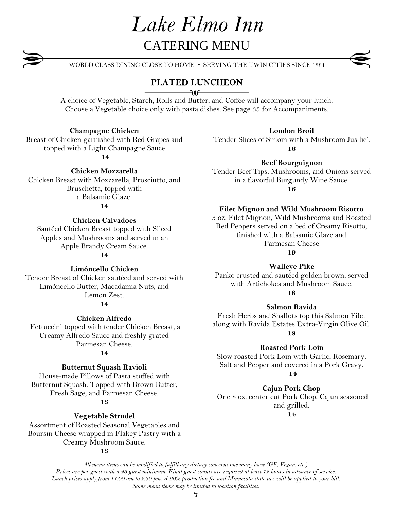WORLD CLASS DINING CLOSE TO HOME • SERVING THE TWIN CITIES SINCE 1881

# **PLATED LUNCHEON**

 $\longrightarrow$ 

A choice of Vegetable, Starch, Rolls and Butter, and Coffee will accompany your lunch. Choose a Vegetable choice only with pasta dishes. See page 35 for Accompaniments.

## **Champagne Chicken**

Breast of Chicken garnished with Red Grapes and topped with a Light Champagne Sauce

**14**

### **Chicken Mozzarella**

Chicken Breast with Mozzarella, Prosciutto, and Bruschetta, topped with a Balsamic Glaze. **14**

#### **Chicken Calvadoes**

Sautéed Chicken Breast topped with Sliced Apples and Mushrooms and served in an Apple Brandy Cream Sauce.

**14**

**Limóncello Chicken**

Tender Breast of Chicken sautéed and served with Limóncello Butter, Macadamia Nuts, and Lemon Zest. **14**

**Chicken Alfredo** 

Fettuccini topped with tender Chicken Breast, a Creamy Alfredo Sauce and freshly grated Parmesan Cheese.

### **14**

#### **Butternut Squash Ravioli**

House-made Pillows of Pasta stuffed with Butternut Squash. Topped with Brown Butter, Fresh Sage, and Parmesan Cheese.

#### **13**

**Vegetable Strudel**

Assortment of Roasted Seasonal Vegetables and Boursin Cheese wrapped in Flakey Pastry with a Creamy Mushroom Sauce.

#### **13**

**London Broil**

Tender Slices of Sirloin with a Mushroom Jus lie'. **16**

**Beef Bourguignon**

Tender Beef Tips, Mushrooms, and Onions served in a flavorful Burgundy Wine Sauce.

**16**

#### **Filet Mignon and Wild Mushroom Risotto**

3 oz. Filet Mignon, Wild Mushrooms and Roasted Red Peppers served on a bed of Creamy Risotto, finished with a Balsamic Glaze and Parmesan Cheese

**19**

#### **Walleye Pike**

Panko crusted and sautéed golden brown, served with Artichokes and Mushroom Sauce. **18**

#### **Salmon Ravida**

Fresh Herbs and Shallots top this Salmon Filet along with Ravida Estates Extra-Virgin Olive Oil. **18**

#### **Roasted Pork Loin**

Slow roasted Pork Loin with Garlic, Rosemary, Salt and Pepper and covered in a Pork Gravy. **14**

**Cajun Pork Chop**

One 8 oz. center cut Pork Chop, Cajun seasoned and grilled.

**14**

*All menu items can be modified to fulfill any dietary concerns one many have (GF, Vegan, etc.). Prices are per guest with a 25 guest minimum. Final guest counts are required at least 72 hours in advance of service. Lunch prices apply from 11:00 am to 2:30 pm. A 20% production fee and Minnesota state tax will be applied to your bill. Some menu items may be limited to location facilities.*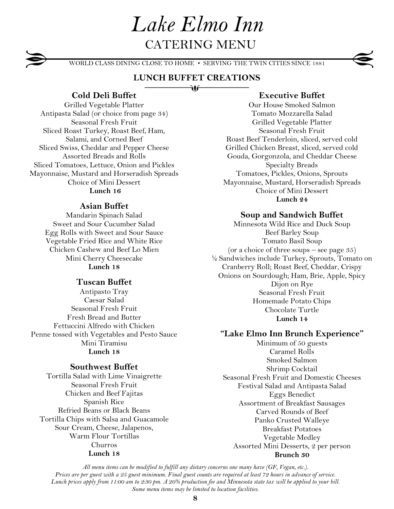WORLD CLASS DINING CLOSE TO HOME • SERVING THE TWIN CITIES SINCE 1881

## **LUNCH BUFFET CREATIONS** ∂♦

## **Cold Deli Buffet**

Grilled Vegetable Platter Antipasta Salad (or choice from page 34) Seasonal Fresh Fruit Sliced Roast Turkey, Roast Beef, Ham, Salami, and Corned Beef Sliced Swiss, Cheddar and Pepper Cheese Assorted Breads and Rolls Sliced Tomatoes, Lettuce, Onion and Pickles Mayonnaise, Mustard and Horseradish Spreads Choice of Mini Dessert **Lunch 16**

### **Asian Buffet**

Mandarin Spinach Salad Sweet and Sour Cucumber Salad Egg Rolls with Sweet and Sour Sauce Vegetable Fried Rice and White Rice Chicken Cashew and Beef Lo Mien Mini Cherry Cheesecake **Lunch 18**

#### **Tuscan Buffet**

Antipasto Tray Caesar Salad Seasonal Fresh Fruit Fresh Bread and Butter Fettuccini Alfredo with Chicken Penne tossed with Vegetables and Pesto Sauce Mini Tiramisu **Lunch 18**

### **Southwest Buffet**

Tortilla Salad with Lime Vinaigrette Seasonal Fresh Fruit Chicken and Beef Fajitas Spanish Rice Refried Beans or Black Beans Tortilla Chips with Salsa and Guacamole Sour Cream, Cheese, Jalapenos, Warm Flour Tortillas Churros **Lunch 18**

### **Executive Buffet**

Our House Smoked Salmon Tomato Mozzarella Salad Grilled Vegetable Platter Seasonal Fresh Fruit Roast Beef Tenderloin, sliced, served cold Grilled Chicken Breast, sliced, served cold Gouda, Gorgonzola, and Cheddar Cheese Specialty Breads Tomatoes, Pickles, Onions, Sprouts Mayonnaise, Mustard, Horseradish Spreads Choice of Mini Dessert **Lunch 24**

#### **Soup and Sandwich Buffet**

Minnesota Wild Rice and Duck Soup Beef Barley Soup Tomato Basil Soup (or a choice of three soups – see page  $35$ ) ½ Sandwiches include Turkey, Sprouts, Tomato on Cranberry Roll; Roast Beef, Cheddar, Crispy Onions on Sourdough; Ham, Brie, Apple, Spicy Dijon on Rye Seasonal Fresh Fruit Homemade Potato Chips Chocolate Turtle **Lunch 14**

#### **"Lake Elmo Inn Brunch Experience"**

Minimum of 50 guests Caramel Rolls Smoked Salmon Shrimp Cocktail Seasonal Fresh Fruit and Domestic Cheeses Festival Salad and Antipasta Salad Eggs Benedict Assortment of Breakfast Sausages Carved Rounds of Beef Panko Crusted Walleye Breakfast Potatoes Vegetable Medley Assorted Mini Desserts, 2 per person **Brunch 30**

*All menu items can be modified to fulfill any dietary concerns one many have (GF, Vegan, etc.). Prices are per guest with a 25 guest minimum. Final guest counts are required at least 72 hours in advance of service. Lunch prices apply from 11:00 am to 2:30 pm. A 20% production fee and Minnesota state tax will be applied to your bill. Some menu items may be limited to location facilities.*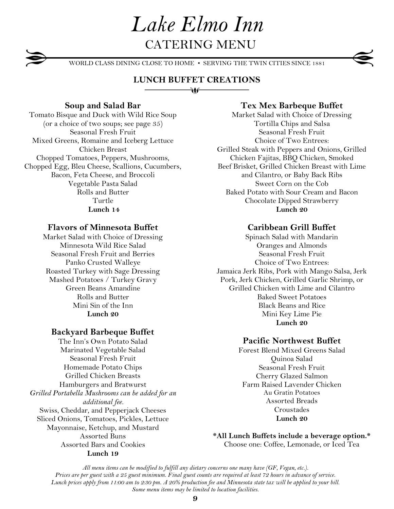WORLD CLASS DINING CLOSE TO HOME • SERVING THE TWIN CITIES SINCE 1881

# **LUNCH BUFFET CREATIONS**

₹Ò

# **Soup and Salad Bar**

Tomato Bisque and Duck with Wild Rice Soup (or a choice of two soups; see page 35) Seasonal Fresh Fruit Mixed Greens, Romaine and Iceberg Lettuce Chicken Breast Chopped Tomatoes, Peppers, Mushrooms, Chopped Egg, Bleu Cheese, Scallions, Cucumbers, Bacon, Feta Cheese, and Broccoli Vegetable Pasta Salad Rolls and Butter Turtle **Lunch 14**

# **Flavors of Minnesota Buffet**

Market Salad with Choice of Dressing Minnesota Wild Rice Salad Seasonal Fresh Fruit and Berries Panko Crusted Walleye Roasted Turkey with Sage Dressing Mashed Potatoes / Turkey Gravy Green Beans Amandine Rolls and Butter Mini Sin of the Inn **Lunch 20**

# **Backyard Barbeque Buffet**

The Inn's Own Potato Salad Marinated Vegetable Salad Seasonal Fresh Fruit Homemade Potato Chips Grilled Chicken Breasts Hamburgers and Bratwurst *Grilled Portabella Mushrooms can be added for an additional fee.* Swiss, Cheddar, and Pepperjack Cheeses Sliced Onions, Tomatoes, Pickles, Lettuce Mayonnaise, Ketchup, and Mustard Assorted Buns Assorted Bars and Cookies **Lunch 19**

# **Tex Mex Barbeque Buffet**

Market Salad with Choice of Dressing Tortilla Chips and Salsa Seasonal Fresh Fruit Choice of Two Entrees: Grilled Steak with Peppers and Onions, Grilled Chicken Fajitas, BBQ Chicken, Smoked Beef Brisket, Grilled Chicken Breast with Lime and Cilantro, or Baby Back Ribs Sweet Corn on the Cob Baked Potato with Sour Cream and Bacon Chocolate Dipped Strawberry **Lunch 20**

# **Caribbean Grill Buffet**

Spinach Salad with Mandarin Oranges and Almonds Seasonal Fresh Fruit Choice of Two Entrees: Jamaica Jerk Ribs, Pork with Mango Salsa, Jerk Pork, Jerk Chicken, Grilled Garlic Shrimp, or Grilled Chicken with Lime and Cilantro Baked Sweet Potatoes Black Beans and Rice Mini Key Lime Pie **Lunch 20**

# **Pacific Northwest Buffet**

Forest Blend Mixed Greens Salad Quinoa Salad Seasonal Fresh Fruit Cherry Glazed Salmon Farm Raised Lavender Chicken Au Gratin Potatoes Assorted Breads Croustades **Lunch 20**

**\*All Lunch Buffets include a beverage option.\*** Choose one: Coffee, Lemonade, or Iced Tea

*All menu items can be modified to fulfill any dietary concerns one many have (GF, Vegan, etc.). Prices are per guest with a 25 guest minimum. Final guest counts are required at least 72 hours in advance of service. Lunch prices apply from 11:00 am to 2:30 pm. A 20% production fee and Minnesota state tax will be applied to your bill. Some menu items may be limited to location facilities.*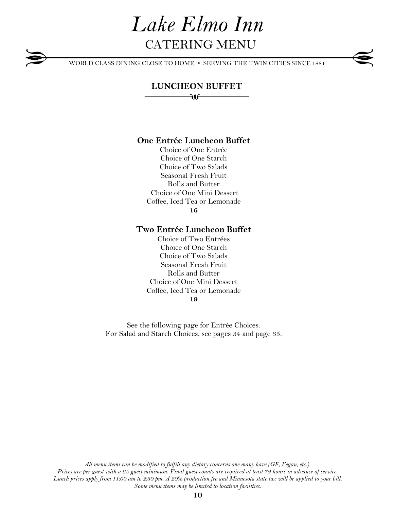WORLD CLASS DINING CLOSE TO HOME • SERVING THE TWIN CITIES SINCE 1881

# **LUNCHEON BUFFET** ₩

# **One Entrée Luncheon Buffet**

Choice of One Entrée Choice of One Starch Choice of Two Salads Seasonal Fresh Fruit Rolls and Butter Choice of One Mini Dessert Coffee, Iced Tea or Lemonade **16**

### **Two Entrée Luncheon Buffet**

Choice of Two Entrées Choice of One Starch Choice of Two Salads Seasonal Fresh Fruit Rolls and Butter Choice of One Mini Dessert Coffee, Iced Tea or Lemonade **19**

See the following page for Entrée Choices. For Salad and Starch Choices, see pages 34 and page 35.

*All menu items can be modified to fulfill any dietary concerns one many have (GF, Vegan, etc.). Prices are per guest with a 25 guest minimum. Final guest counts are required at least 72 hours in advance of service. Lunch prices apply from 11:00 am to 2:30 pm. A 20% production fee and Minnesota state tax will be applied to your bill. Some menu items may be limited to location facilities.*